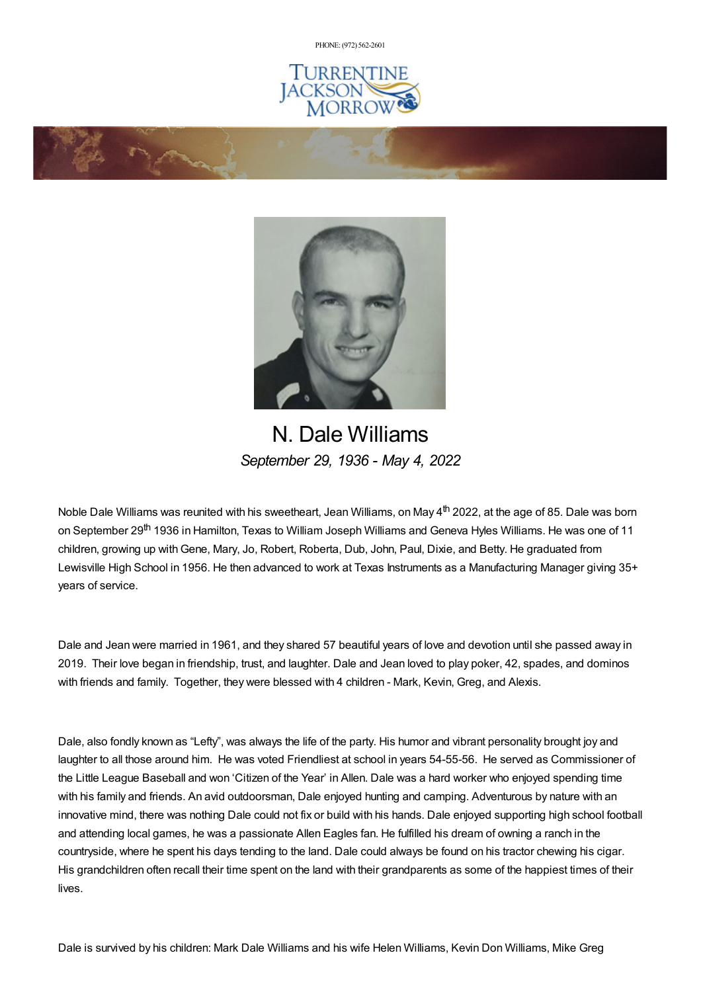PHONE: (972) [562-2601](tel:(972) 562-2601)







## N. Dale Williams *September 29, 1936 - May 4, 2022*

Noble Dale Williams was reunited with his sweetheart, Jean Williams, on May 4<sup>th</sup> 2022, at the age of 85. Dale was born on September 29<sup>th</sup> 1936 in Hamilton, Texas to William Joseph Williams and Geneva Hyles Williams. He was one of 11 children, growing up withGene, Mary, Jo, Robert, Roberta, Dub, John, Paul, Dixie, and Betty. He graduated from Lewisville High School in 1956. He then advanced to work at Texas Instruments as a Manufacturing Manager giving 35+ years of service.

Dale and Jean were married in 1961, and they shared 57 beautiful years of love and devotion until she passed away in 2019. Their love began in friendship, trust, and laughter. Dale and Jean loved to play poker, 42, spades, and dominos with friends and family. Together, they were blessed with 4 children - Mark, Kevin, Greg, and Alexis.

Dale, also fondly known as "Lefty", was always the life of the party. His humor and vibrant personality brought joy and laughter to all those around him. He was voted Friendliest at school in years 54-55-56. He served as Commissioner of the Little League Baseball and won 'Citizen of the Year' in Allen. Dale was a hard worker who enjoyed spending time with his family and friends. An avid outdoorsman, Dale enjoyed hunting and camping. Adventurous by nature with an innovative mind, there was nothing Dale could not fix or build with his hands. Dale enjoyed supporting high school football and attending local games, he was a passionate Allen Eagles fan. He fulfilled his dream of owning a ranch in the countryside, where he spent his days tending to the land. Dale could always be found on his tractor chewing his cigar. His grandchildren often recall their time spent on the land with their grandparents as some of the happiest times of their lives.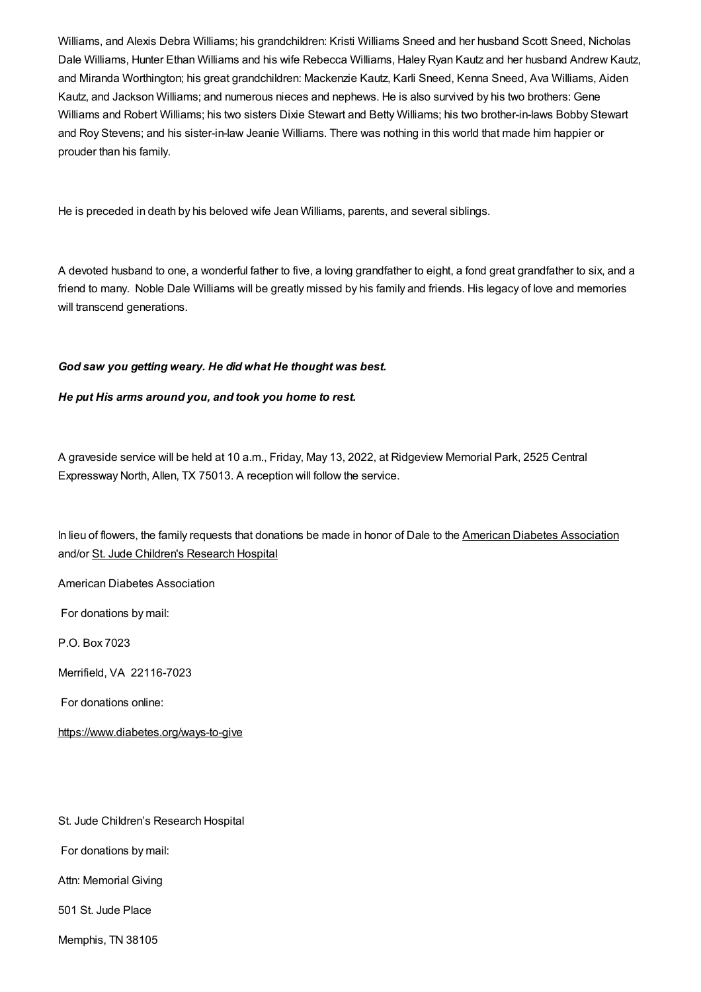Williams, and Alexis Debra Williams; his grandchildren: Kristi Williams Sneed and her husband Scott Sneed, Nicholas Dale Williams, Hunter Ethan Williams and his wife Rebecca Williams, Haley Ryan Kautz and her husband Andrew Kautz, and Miranda Worthington; his great grandchildren: Mackenzie Kautz, Karli Sneed, Kenna Sneed, Ava Williams, Aiden Kautz, and Jackson Williams; and numerous nieces and nephews. He is also survived by his two brothers: Gene Williams and Robert Williams; his two sisters Dixie Stewart and Betty Williams; his two brother-in-laws Bobby Stewart and Roy Stevens; and his sister-in-law Jeanie Williams. There was nothing in this world that made him happier or prouder than his family.

He is preceded in death by his beloved wife Jean Williams, parents, and several siblings.

A devoted husband to one, a wonderful father to five, a loving grandfather to eight, a fond great grandfather to six, and a friend to many. Noble Dale Williams will be greatly missed by his family and friends. His legacy of love and memories will transcend generations.

### *God saw you getting weary. He did what He thought was best.*

#### *He put His arms around you, and took you home to rest.*

A graveside service will be held at 10 a.m., Friday, May 13, 2022, at Ridgeview Memorial Park, 2525 Central Expressway North, Allen, TX 75013. A reception will follow the service.

In lieu of flowers, the family requests that donations be made in honor of Dale to the American Diabetes [Association](https://www.diabetes.org/ways-to-give ) and/or St. Jude [Children's](https://www.stjude.org/donate/donate-to-st-jude.html) Research Hospital

American Diabetes Association

For donations by mail:

P.O. Box 7023

Merrifield, VA 22116-7023

For donations online:

<https://www.diabetes.org/ways-to-give>

St. Jude Children's Research Hospital

For donations by mail:

Attn: Memorial Giving

501 St. Jude Place

Memphis, TN 38105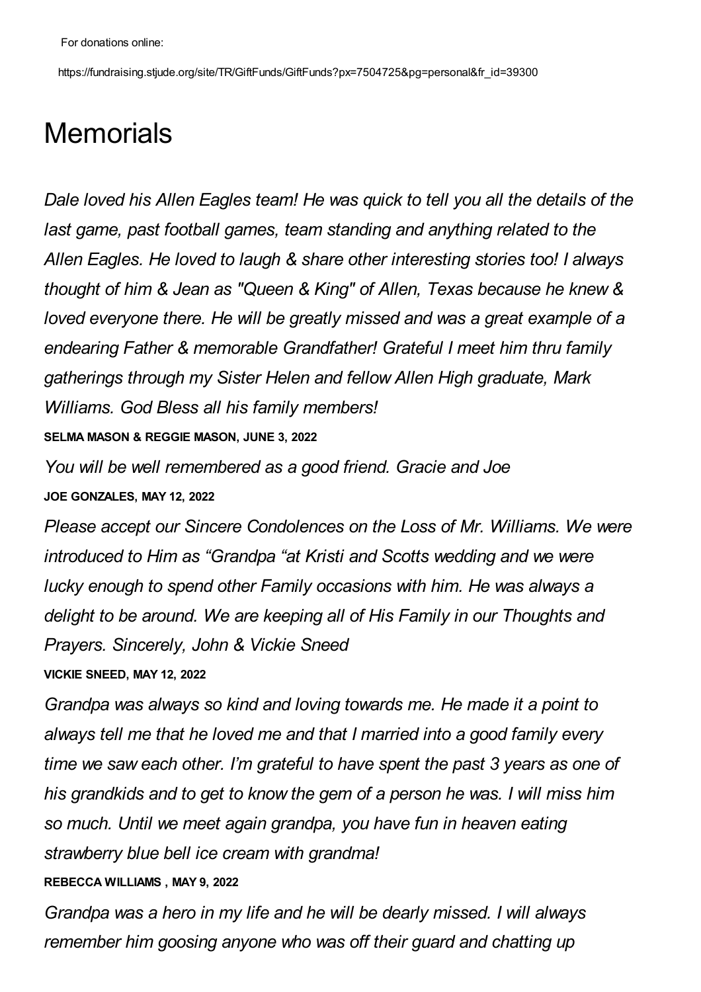https://fundraising.stjude.org/site/TR/GiftFunds/GiftFunds?px=7504725&pg=personal&fr\_id=39300

# **Memorials**

*Dale loved his Allen Eagles team! He was quick to tell you all the details of the last game, past football games, team standing and anything related to the Allen Eagles. He loved to laugh & share other interesting stories too! I always thought of him & Jean as "Queen & King" of Allen, Texas because he knew & loved everyone there. He will be greatly missed and was a great example of a endearing Father & memorable Grandfather! Grateful I meet him thru family gatherings through my Sister Helen and fellow Allen High graduate, Mark Williams. God Bless all his family members!*

**SELMA MASON & REGGIE MASON, JUNE 3, 2022**

*You will be well remembered as a good friend. Gracie and Joe* **JOE GONZALES, MAY 12, 2022**

*Please accept our Sincere Condolences on the Loss of Mr. Williams. We were introduced to Him as "Grandpa "at Kristi and Scotts wedding and we were lucky enough to spend other Family occasions with him. He was always a delight to be around. We are keeping all of His Family in our Thoughts and Prayers. Sincerely, John & Vickie Sneed*

## **VICKIE SNEED, MAY 12, 2022**

*Grandpa was always so kind and loving towards me. He made it a point to always tell me that he loved me and that I married into a good family every time we saw each other. I'm grateful to have spent the past 3 years as one of his grandkids and to get to know the gem of a person he was. I will miss him so much. Until we meet again grandpa, you have fun in heaven eating strawberry blue bell ice cream with grandma!*

## **REBECCA WILLIAMS , MAY 9, 2022**

*Grandpa was a hero in my life and he will be dearly missed. I will always remember him goosing anyone who was off their guard and chatting up*